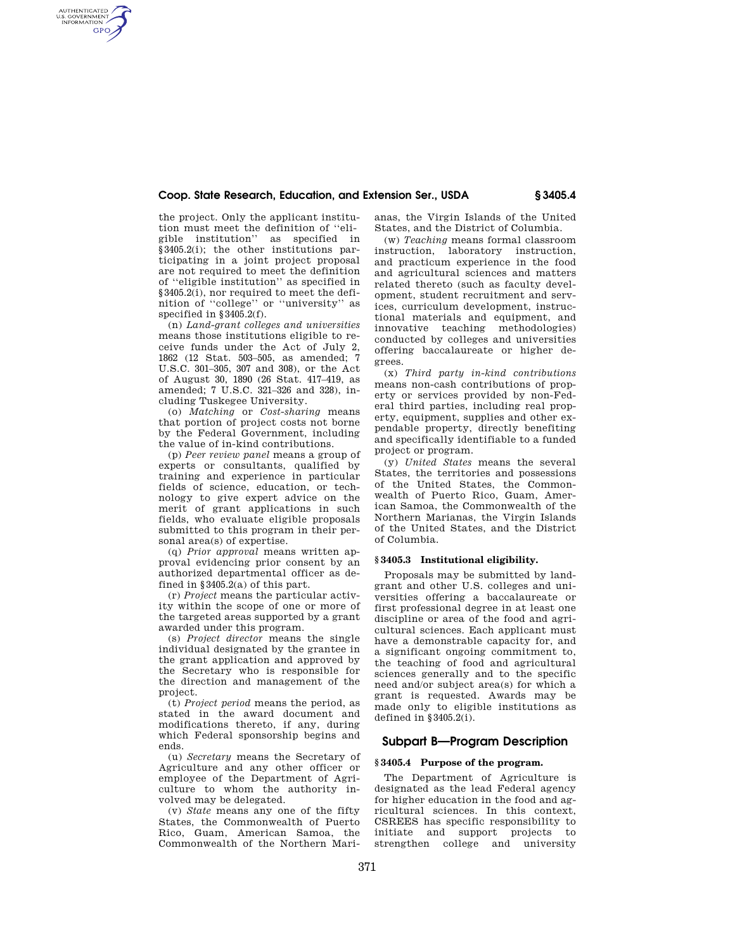## **Coop. State Research, Education, and Extension Ser., USDA § 3405.4**

the project. Only the applicant institution must meet the definition of ''eligible institution'' as specified in §3405.2(i); the other institutions participating in a joint project proposal are not required to meet the definition of ''eligible institution'' as specified in §3405.2(i), nor required to meet the definition of ''college'' or ''university'' as specified in §3405.2(f).

AUTHENTICATED<br>U.S. GOVERNMENT<br>INFORMATION **GPO** 

> (n) *Land-grant colleges and universities*  means those institutions eligible to receive funds under the Act of July 2, 1862 (12 Stat. 503–505, as amended; 7 U.S.C. 301–305, 307 and 308), or the Act of August 30, 1890 (26 Stat. 417–419, as amended; 7 U.S.C. 321–326 and 328), including Tuskegee University.

> (o) *Matching* or *Cost-sharing* means that portion of project costs not borne by the Federal Government, including the value of in-kind contributions.

> (p) *Peer review panel* means a group of experts or consultants, qualified by training and experience in particular fields of science, education, or technology to give expert advice on the merit of grant applications in such fields, who evaluate eligible proposals submitted to this program in their personal area(s) of expertise.

> (q) *Prior approval* means written approval evidencing prior consent by an authorized departmental officer as defined in §3405.2(a) of this part.

> (r) *Project* means the particular activity within the scope of one or more of the targeted areas supported by a grant awarded under this program.

> (s) *Project director* means the single individual designated by the grantee in the grant application and approved by the Secretary who is responsible for the direction and management of the project.

> (t) *Project period* means the period, as stated in the award document and modifications thereto, if any, during which Federal sponsorship begins and ends.

> (u) *Secretary* means the Secretary of Agriculture and any other officer or employee of the Department of Agriculture to whom the authority involved may be delegated.

> (v) *State* means any one of the fifty States, the Commonwealth of Puerto Rico, Guam, American Samoa, the Commonwealth of the Northern Mari

anas, the Virgin Islands of the United States, and the District of Columbia.

(w) *Teaching* means formal classroom instruction, laboratory instruction, and practicum experience in the food and agricultural sciences and matters related thereto (such as faculty development, student recruitment and services, curriculum development, instructional materials and equipment, and innovative teaching methodologies) conducted by colleges and universities offering baccalaureate or higher degrees.

(x) *Third party in-kind contributions*  means non-cash contributions of property or services provided by non-Federal third parties, including real property, equipment, supplies and other expendable property, directly benefiting and specifically identifiable to a funded project or program.

(y) *United States* means the several States, the territories and possessions of the United States, the Commonwealth of Puerto Rico, Guam, American Samoa, the Commonwealth of the Northern Marianas, the Virgin Islands of the United States, and the District of Columbia.

### **§ 3405.3 Institutional eligibility.**

Proposals may be submitted by landgrant and other U.S. colleges and universities offering a baccalaureate or first professional degree in at least one discipline or area of the food and agricultural sciences. Each applicant must have a demonstrable capacity for, and a significant ongoing commitment to, the teaching of food and agricultural sciences generally and to the specific need and/or subject area(s) for which a grant is requested. Awards may be made only to eligible institutions as defined in §3405.2(i).

# **Subpart B—Program Description**

#### **§ 3405.4 Purpose of the program.**

The Department of Agriculture is designated as the lead Federal agency for higher education in the food and agricultural sciences. In this context, CSREES has specific responsibility to initiate and support projects to strengthen college and university